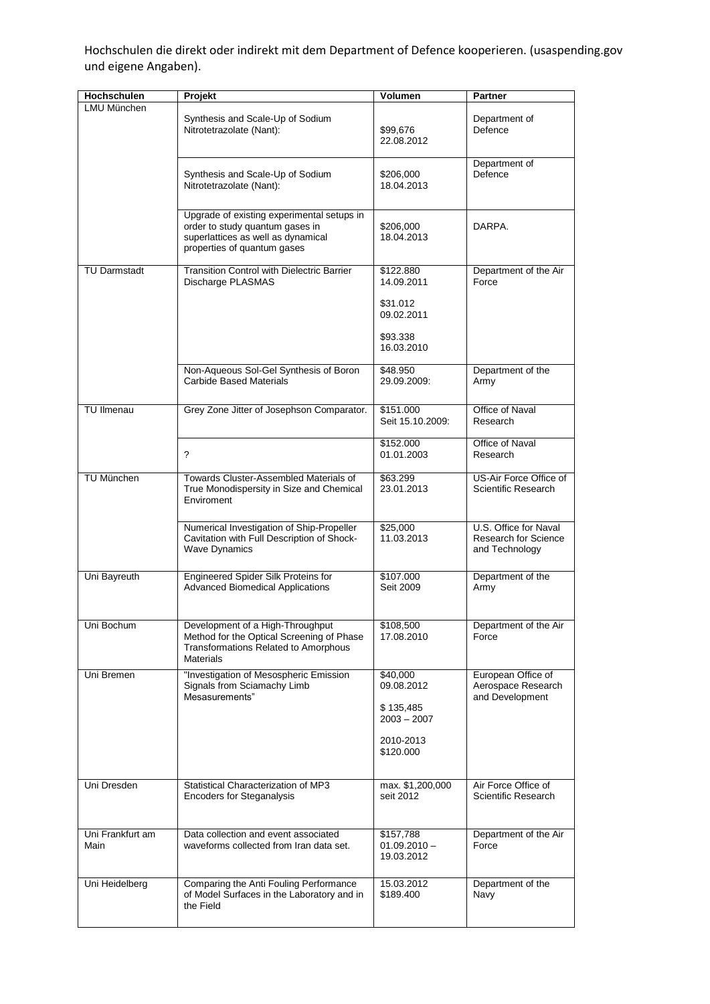Hochschulen die direkt oder indirekt mit dem Department of Defence kooperieren. (usaspending.gov und eigene Angaben).

| Hochschulen              | Projekt                                                                                                                                            | <b>Volumen</b>                                                                 | <b>Partner</b>                                                         |
|--------------------------|----------------------------------------------------------------------------------------------------------------------------------------------------|--------------------------------------------------------------------------------|------------------------------------------------------------------------|
| LMU München              | Synthesis and Scale-Up of Sodium<br>Nitrotetrazolate (Nant):                                                                                       | \$99,676<br>22.08.2012                                                         | Department of<br>Defence                                               |
|                          | Synthesis and Scale-Up of Sodium<br>Nitrotetrazolate (Nant):                                                                                       | \$206,000<br>18.04.2013                                                        | Department of<br>Defence                                               |
|                          | Upgrade of existing experimental setups in<br>order to study quantum gases in<br>superlattices as well as dynamical<br>properties of quantum gases | \$206,000<br>18.04.2013                                                        | DARPA.                                                                 |
| <b>TU Darmstadt</b>      | <b>Transition Control with Dielectric Barrier</b><br>Discharge PLASMAS                                                                             | \$122.880<br>14.09.2011<br>\$31.012<br>09.02.2011<br>\$93.338<br>16.03.2010    | Department of the Air<br>Force                                         |
|                          | Non-Aqueous Sol-Gel Synthesis of Boron<br><b>Carbide Based Materials</b>                                                                           | \$48.950<br>29.09.2009:                                                        | Department of the<br>Army                                              |
| <b>TU Ilmenau</b>        | Grey Zone Jitter of Josephson Comparator.                                                                                                          | \$151,000<br>Seit 15.10.2009:                                                  | Office of Naval<br>Research                                            |
|                          | ?                                                                                                                                                  | \$152.000<br>01.01.2003                                                        | Office of Naval<br>Research                                            |
| <b>TU München</b>        | Towards Cluster-Assembled Materials of<br>True Monodispersity in Size and Chemical<br>Enviroment                                                   | \$63.299<br>23.01.2013                                                         | US-Air Force Office of<br>Scientific Research                          |
|                          | Numerical Investigation of Ship-Propeller<br>Cavitation with Full Description of Shock-<br><b>Wave Dynamics</b>                                    | \$25,000<br>11.03.2013                                                         | U.S. Office for Naval<br><b>Research for Science</b><br>and Technology |
| Uni Bayreuth             | Engineered Spider Silk Proteins for<br><b>Advanced Biomedical Applications</b>                                                                     | \$107.000<br>Seit 2009                                                         | Department of the<br>Army                                              |
| Uni Bochum               | Development of a High-Throughput<br>Method for the Optical Screening of Phase<br><b>Transformations Related to Amorphous</b><br><b>Materials</b>   | \$108,500<br>17.08.2010                                                        | Department of the Air<br>Force                                         |
| Uni Bremen               | "Investigation of Mesospheric Emission<br>Signals from Sciamachy Limb<br>Mesasurements"                                                            | \$40,000<br>09.08.2012<br>\$135,485<br>$2003 - 2007$<br>2010-2013<br>\$120,000 | European Office of<br>Aerospace Research<br>and Development            |
| Uni Dresden              | Statistical Characterization of MP3<br><b>Encoders for Steganalysis</b>                                                                            | max. \$1,200,000<br>seit 2012                                                  | Air Force Office of<br>Scientific Research                             |
| Uni Frankfurt am<br>Main | Data collection and event associated<br>waveforms collected from Iran data set.                                                                    | \$157,788<br>$01.09.2010 -$<br>19.03.2012                                      | Department of the Air<br>Force                                         |
| Uni Heidelberg           | Comparing the Anti Fouling Performance<br>of Model Surfaces in the Laboratory and in<br>the Field                                                  | 15.03.2012<br>\$189.400                                                        | Department of the<br>Navy                                              |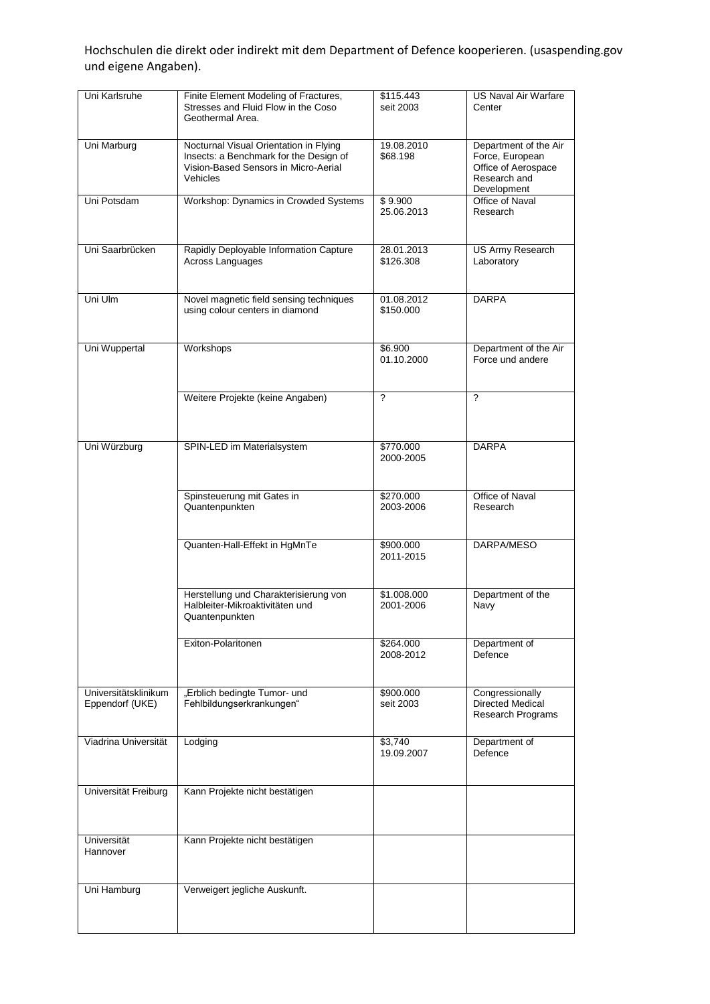Hochschulen die direkt oder indirekt mit dem Department of Defence kooperieren. (usaspending.gov und eigene Angaben).

| Uni Karlsruhe                           | Finite Element Modeling of Fractures,<br>Stresses and Fluid Flow in the Coso<br>Geothermal Area.                                     | \$115.443<br>seit 2003   | <b>US Naval Air Warfare</b><br>Center                                                          |
|-----------------------------------------|--------------------------------------------------------------------------------------------------------------------------------------|--------------------------|------------------------------------------------------------------------------------------------|
| Uni Marburg                             | Nocturnal Visual Orientation in Flying<br>Insects: a Benchmark for the Design of<br>Vision-Based Sensors in Micro-Aerial<br>Vehicles | 19.08.2010<br>\$68.198   | Department of the Air<br>Force, European<br>Office of Aerospace<br>Research and<br>Development |
| Uni Potsdam                             | Workshop: Dynamics in Crowded Systems                                                                                                | \$9.900<br>25.06.2013    | Office of Naval<br>Research                                                                    |
| Uni Saarbrücken                         | Rapidly Deployable Information Capture<br>Across Languages                                                                           | 28.01.2013<br>\$126.308  | <b>US Army Research</b><br>Laboratory                                                          |
| Uni Ulm                                 | Novel magnetic field sensing techniques<br>using colour centers in diamond                                                           | 01.08.2012<br>\$150.000  | <b>DARPA</b>                                                                                   |
| Uni Wuppertal                           | Workshops                                                                                                                            | \$6.900<br>01.10.2000    | Department of the Air<br>Force und andere                                                      |
|                                         | Weitere Projekte (keine Angaben)                                                                                                     | $\boldsymbol{\gamma}$    | $\overline{\mathcal{L}}$                                                                       |
| Uni Würzburg                            | SPIN-LED im Materialsystem                                                                                                           | \$770.000<br>2000-2005   | <b>DARPA</b>                                                                                   |
|                                         | Spinsteuerung mit Gates in<br>Quantenpunkten                                                                                         | \$270.000<br>2003-2006   | Office of Naval<br>Research                                                                    |
|                                         | Quanten-Hall-Effekt in HgMnTe                                                                                                        | \$900.000<br>2011-2015   | DARPA/MESO                                                                                     |
|                                         | Herstellung und Charakterisierung von<br>Halbleiter-Mikroaktivitäten und<br>Quantenpunkten                                           | \$1.008.000<br>2001-2006 | Department of the<br>Navy                                                                      |
|                                         | Exiton-Polaritonen                                                                                                                   | \$264.000<br>2008-2012   | Department of<br>Defence                                                                       |
| Universitätsklinikum<br>Eppendorf (UKE) | "Erblich bedingte Tumor- und<br>Fehlbildungserkrankungen"                                                                            | \$900.000<br>seit 2003   | Congressionally<br><b>Directed Medical</b><br><b>Research Programs</b>                         |
| Viadrina Universität                    | Lodging                                                                                                                              | \$3,740<br>19.09.2007    | Department of<br>Defence                                                                       |
| Universität Freiburg                    | Kann Projekte nicht bestätigen                                                                                                       |                          |                                                                                                |
| Universität<br>Hannover                 | Kann Projekte nicht bestätigen                                                                                                       |                          |                                                                                                |
| Uni Hamburg                             | Verweigert jegliche Auskunft.                                                                                                        |                          |                                                                                                |